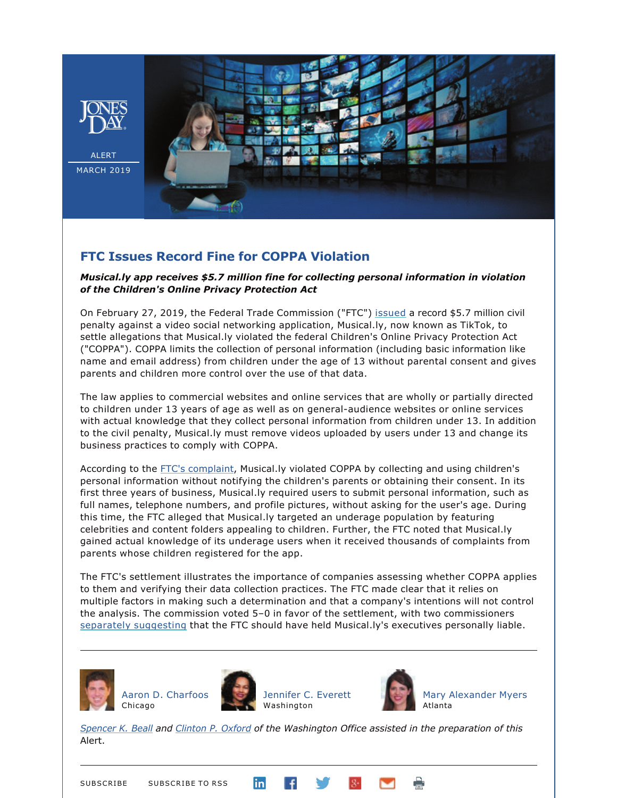

## **FTC Issues Record Fine for COPPA Violation**

## *Musical.ly app receives \$5.7 million fine for collecting personal information in violation of the Children's Online Privacy Protection Act*

On February 27, 2019, the Federal Trade Commission ("FTC") [issued](https://www.ftc.gov/system/files/documents/cases/musical.ly_proposed_order_ecf_2-27-19.pdf) a record \$5.7 million civil penalty against a video social networking application, Musical.ly, now known as TikTok, to settle allegations that Musical.ly violated the federal Children's Online Privacy Protection Act ("COPPA"). COPPA limits the collection of personal information (including basic information like name and email address) from children under the age of 13 without parental consent and gives parents and children more control over the use of that data.

The law applies to commercial websites and online services that are wholly or partially directed to children under 13 years of age as well as on general-audience websites or online services with actual knowledge that they collect personal information from children under 13. In addition to the civil penalty, Musical.ly must remove videos uploaded by users under 13 and change its business practices to comply with COPPA.

According to the [FTC's complaint](https://www.ftc.gov/system/files/documents/cases/musical.ly_complaint_ecf_2-27-19.pdf), Musical.ly violated COPPA by collecting and using children's personal information without notifying the children's parents or obtaining their consent. In its first three years of business, Musical.ly required users to submit personal information, such as full names, telephone numbers, and profile pictures, without asking for the user's age. During this time, the FTC alleged that Musical.ly targeted an underage population by featuring celebrities and content folders appealing to children. Further, the FTC noted that Musical.ly gained actual knowledge of its underage users when it received thousands of complaints from parents whose children registered for the app.

The FTC's settlement illustrates the importance of companies assessing whether COPPA applies to them and verifying their data collection practices. The FTC made clear that it relies on multiple factors in making such a determination and that a company's intentions will not control the analysis. The commission voted 5–0 in favor of the settlement, with two commissioners [separately suggesting](https://www.ftc.gov/system/files/documents/public_statements/1463167/chopra_and_slaughter_musically_tiktok_joint_statement_2-27-19.pdf) that the FTC should have held Musical.ly's executives personally liable.



[Aaron D. Charfoos](http://www.jonesday.com/acharfoos) Chicago





[Mary Alexander Myers](http://www.jonesday.com/mamyers) Atlanta

*[Spencer K. Beall](http://www.jonesday.com/sbeall/) and [Clinton P. Oxford](http://www.jonesday.com/coxford/) of the Washington Office assisted in the preparation of this*  Alert.